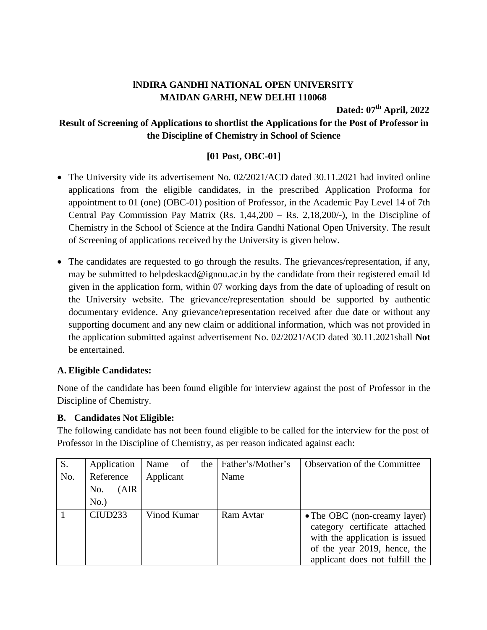# **lNDIRA GANDHI NATIONAL OPEN UNIVERSITY MAIDAN GARHI, NEW DELHI 110068**

**Dated: 07 th April, 2022**

# **Result of Screening of Applications to shortlist the Applications for the Post of Professor in the Discipline of Chemistry in School of Science**

### **[01 Post, OBC-01]**

- The University vide its advertisement No. 02/2021/ACD dated 30.11.2021 had invited online applications from the eligible candidates, in the prescribed Application Proforma for appointment to 01 (one) (OBC-01) position of Professor, in the Academic Pay Level 14 of 7th Central Pay Commission Pay Matrix  $(Rs. 1,44,200 - Rs. 2,18,200/$ -), in the Discipline of Chemistry in the School of Science at the Indira Gandhi National Open University. The result of Screening of applications received by the University is given below.
- The candidates are requested to go through the results. The grievances/representation, if any, may be submitted to helpdeskacd@ignou.ac.in by the candidate from their registered email Id given in the application form, within 07 working days from the date of uploading of result on the University website. The grievance/representation should be supported by authentic documentary evidence. Any grievance/representation received after due date or without any supporting document and any new claim or additional information, which was not provided in the application submitted against advertisement No. 02/2021/ACD dated 30.11.2021shall **Not** be entertained.

### **A. Eligible Candidates:**

None of the candidate has been found eligible for interview against the post of Professor in the Discipline of Chemistry.

#### **B. Candidates Not Eligible:**

The following candidate has not been found eligible to be called for the interview for the post of Professor in the Discipline of Chemistry, as per reason indicated against each:

| S.  | Application         | Name<br>- of | the | Father's/Mother's | <b>Observation of the Committee</b>                                                                                                                               |
|-----|---------------------|--------------|-----|-------------------|-------------------------------------------------------------------------------------------------------------------------------------------------------------------|
| No. | Reference           | Applicant    |     | Name              |                                                                                                                                                                   |
|     | (AIR<br>No.         |              |     |                   |                                                                                                                                                                   |
|     | $No.$ )             |              |     |                   |                                                                                                                                                                   |
|     | CIUD <sub>233</sub> | Vinod Kumar  |     | Ram Avtar         | • The OBC (non-creamy layer)<br>category certificate attached<br>with the application is issued<br>of the year 2019, hence, the<br>applicant does not fulfill the |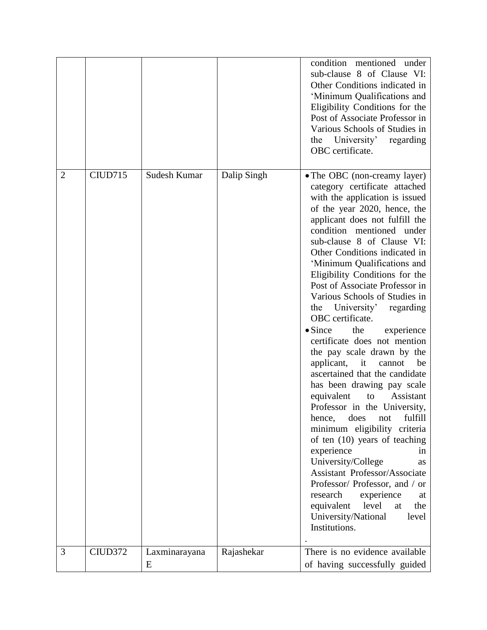|                |                     |                    |             | condition mentioned under<br>sub-clause 8 of Clause VI:<br>Other Conditions indicated in<br>'Minimum Qualifications and<br>Eligibility Conditions for the<br>Post of Associate Professor in<br>Various Schools of Studies in<br>the University' regarding<br>OBC certificate.                                                                                                                                                                                                                                                                                                                                                                                                                                                                                                                                                                                                                                                                                                                                                                                                           |
|----------------|---------------------|--------------------|-------------|-----------------------------------------------------------------------------------------------------------------------------------------------------------------------------------------------------------------------------------------------------------------------------------------------------------------------------------------------------------------------------------------------------------------------------------------------------------------------------------------------------------------------------------------------------------------------------------------------------------------------------------------------------------------------------------------------------------------------------------------------------------------------------------------------------------------------------------------------------------------------------------------------------------------------------------------------------------------------------------------------------------------------------------------------------------------------------------------|
| $\overline{2}$ | CIUD715             | Sudesh Kumar       | Dalip Singh | • The OBC (non-creamy layer)<br>category certificate attached<br>with the application is issued<br>of the year 2020, hence, the<br>applicant does not fulfill the<br>mentioned under<br>condition<br>sub-clause 8 of Clause VI:<br>Other Conditions indicated in<br>'Minimum Qualifications and<br>Eligibility Conditions for the<br>Post of Associate Professor in<br>Various Schools of Studies in<br>the University'<br>regarding<br>OBC certificate.<br>$\bullet$ Since<br>the<br>experience<br>certificate does not mention<br>the pay scale drawn by the<br>applicant,<br>it<br>be<br>cannot<br>ascertained that the candidate<br>has been drawing pay scale<br>equivalent<br>Assistant<br>to<br>Professor in the University,<br>does<br>fulfill<br>hence,<br>not<br>minimum eligibility criteria<br>of ten (10) years of teaching<br>experience<br>in.<br>University/College<br>as<br><b>Assistant Professor/Associate</b><br>Professor/Professor, and / or<br>research<br>experience<br>at<br>equivalent<br>the<br>level<br>at<br>University/National<br>level<br>Institutions. |
| 3              | CIUD <sub>372</sub> | Laxminarayana<br>E | Rajashekar  | There is no evidence available<br>of having successfully guided                                                                                                                                                                                                                                                                                                                                                                                                                                                                                                                                                                                                                                                                                                                                                                                                                                                                                                                                                                                                                         |